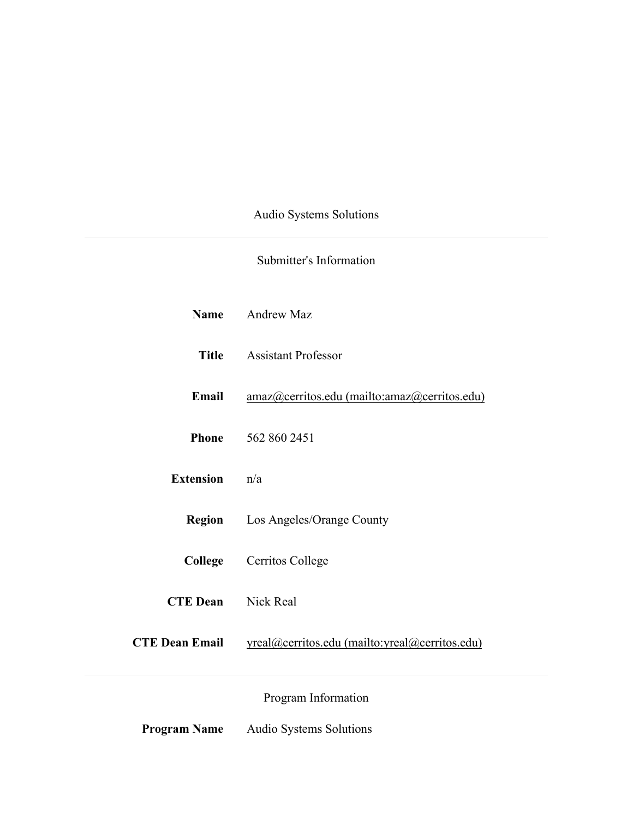Audio Systems Solutions

# Submitter's Information

|                           | Name Andrew Maz                                |
|---------------------------|------------------------------------------------|
|                           | <b>Title</b> Assistant Professor               |
| Email                     | amaz@cerritos.edu (mailto:amaz@cerritos.edu)   |
|                           | <b>Phone</b> 562 860 2451                      |
| <b>Extension</b>          | n/a                                            |
| <b>Region</b>             | Los Angeles/Orange County                      |
| College                   | Cerritos College                               |
| <b>CTE Dean</b> Nick Real |                                                |
| <b>CTE Dean Email</b>     | yreal@cerritos.edu (mailto:yreal@cerritos.edu) |
|                           | Program Information                            |

**Program Name** Audio Systems Solutions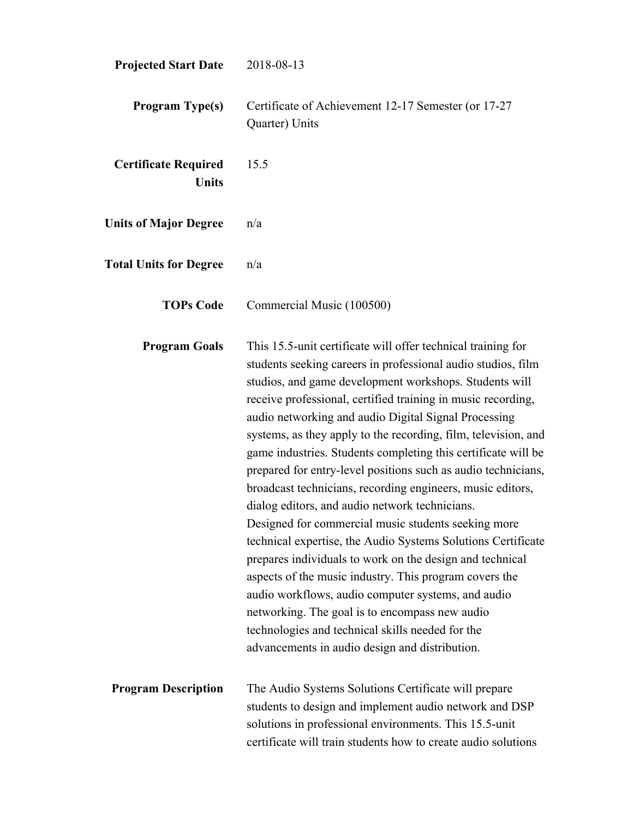| <b>Projected Start Date</b>                 | 2018-08-13                                                                                                                                                                                                                                                                                                                                                                                                                                                                                                                                                                                                                                                                                                                                                                                                                                                                                                                                                                                                                                                                                    |
|---------------------------------------------|-----------------------------------------------------------------------------------------------------------------------------------------------------------------------------------------------------------------------------------------------------------------------------------------------------------------------------------------------------------------------------------------------------------------------------------------------------------------------------------------------------------------------------------------------------------------------------------------------------------------------------------------------------------------------------------------------------------------------------------------------------------------------------------------------------------------------------------------------------------------------------------------------------------------------------------------------------------------------------------------------------------------------------------------------------------------------------------------------|
| <b>Program Type(s)</b>                      | Certificate of Achievement 12-17 Semester (or 17-27<br>Quarter) Units                                                                                                                                                                                                                                                                                                                                                                                                                                                                                                                                                                                                                                                                                                                                                                                                                                                                                                                                                                                                                         |
| <b>Certificate Required</b><br><b>Units</b> | 15.5                                                                                                                                                                                                                                                                                                                                                                                                                                                                                                                                                                                                                                                                                                                                                                                                                                                                                                                                                                                                                                                                                          |
| <b>Units of Major Degree</b>                | n/a                                                                                                                                                                                                                                                                                                                                                                                                                                                                                                                                                                                                                                                                                                                                                                                                                                                                                                                                                                                                                                                                                           |
| <b>Total Units for Degree</b>               | n/a                                                                                                                                                                                                                                                                                                                                                                                                                                                                                                                                                                                                                                                                                                                                                                                                                                                                                                                                                                                                                                                                                           |
| <b>TOPs Code</b>                            | Commercial Music (100500)                                                                                                                                                                                                                                                                                                                                                                                                                                                                                                                                                                                                                                                                                                                                                                                                                                                                                                                                                                                                                                                                     |
| <b>Program Goals</b>                        | This 15.5-unit certificate will offer technical training for<br>students seeking careers in professional audio studios, film<br>studios, and game development workshops. Students will<br>receive professional, certified training in music recording,<br>audio networking and audio Digital Signal Processing<br>systems, as they apply to the recording, film, television, and<br>game industries. Students completing this certificate will be<br>prepared for entry-level positions such as audio technicians,<br>broadcast technicians, recording engineers, music editors,<br>dialog editors, and audio network technicians.<br>Designed for commercial music students seeking more<br>technical expertise, the Audio Systems Solutions Certificate<br>prepares individuals to work on the design and technical<br>aspects of the music industry. This program covers the<br>audio workflows, audio computer systems, and audio<br>networking. The goal is to encompass new audio<br>technologies and technical skills needed for the<br>advancements in audio design and distribution. |
| <b>Program Description</b>                  | The Audio Systems Solutions Certificate will prepare<br>students to design and implement audio network and DSP<br>solutions in professional environments. This 15.5-unit<br>certificate will train students how to create audio solutions                                                                                                                                                                                                                                                                                                                                                                                                                                                                                                                                                                                                                                                                                                                                                                                                                                                     |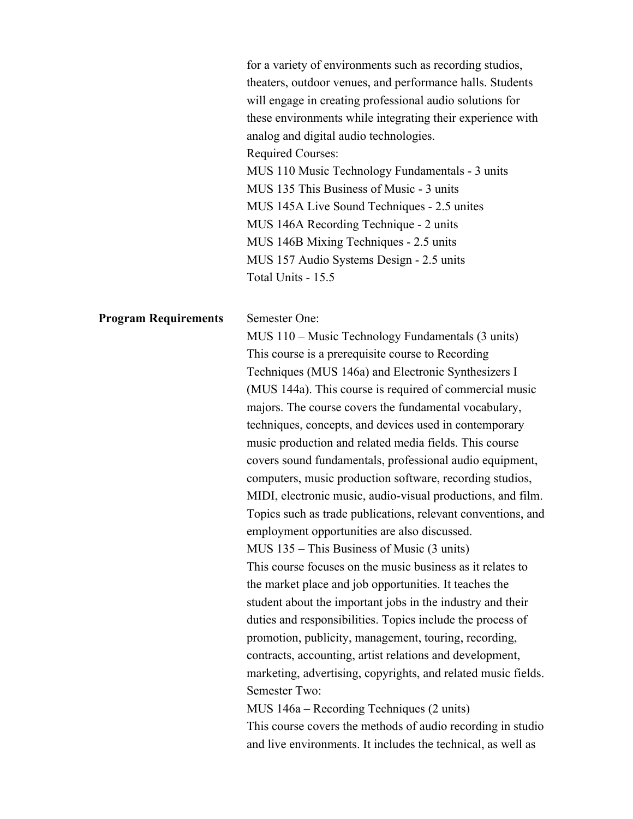|                             | for a variety of environments such as recording studios,<br>theaters, outdoor venues, and performance halls. Students<br>will engage in creating professional audio solutions for<br>these environments while integrating their experience with<br>analog and digital audio technologies.<br><b>Required Courses:</b><br>MUS 110 Music Technology Fundamentals - 3 units<br>MUS 135 This Business of Music - 3 units<br>MUS 145A Live Sound Techniques - 2.5 unites<br>MUS 146A Recording Technique - 2 units<br>MUS 146B Mixing Techniques - 2.5 units<br>MUS 157 Audio Systems Design - 2.5 units<br>Total Units - 15.5 |
|-----------------------------|---------------------------------------------------------------------------------------------------------------------------------------------------------------------------------------------------------------------------------------------------------------------------------------------------------------------------------------------------------------------------------------------------------------------------------------------------------------------------------------------------------------------------------------------------------------------------------------------------------------------------|
| <b>Program Requirements</b> | Semester One:<br>MUS 110 – Music Technology Fundamentals (3 units)<br>This course is a prerequisite course to Recording                                                                                                                                                                                                                                                                                                                                                                                                                                                                                                   |
|                             | Techniques (MUS 146a) and Electronic Synthesizers I                                                                                                                                                                                                                                                                                                                                                                                                                                                                                                                                                                       |
|                             | (MUS 144a). This course is required of commercial music                                                                                                                                                                                                                                                                                                                                                                                                                                                                                                                                                                   |
|                             | majors. The course covers the fundamental vocabulary,                                                                                                                                                                                                                                                                                                                                                                                                                                                                                                                                                                     |
|                             | techniques, concepts, and devices used in contemporary                                                                                                                                                                                                                                                                                                                                                                                                                                                                                                                                                                    |
|                             | music production and related media fields. This course                                                                                                                                                                                                                                                                                                                                                                                                                                                                                                                                                                    |
|                             | covers sound fundamentals, professional audio equipment,<br>computers, music production software, recording studios,                                                                                                                                                                                                                                                                                                                                                                                                                                                                                                      |
|                             | MIDI, electronic music, audio-visual productions, and film.                                                                                                                                                                                                                                                                                                                                                                                                                                                                                                                                                               |
|                             | Topics such as trade publications, relevant conventions, and                                                                                                                                                                                                                                                                                                                                                                                                                                                                                                                                                              |
|                             | employment opportunities are also discussed.                                                                                                                                                                                                                                                                                                                                                                                                                                                                                                                                                                              |
|                             | MUS 135 - This Business of Music (3 units)                                                                                                                                                                                                                                                                                                                                                                                                                                                                                                                                                                                |
|                             | This course focuses on the music business as it relates to                                                                                                                                                                                                                                                                                                                                                                                                                                                                                                                                                                |
|                             | the market place and job opportunities. It teaches the                                                                                                                                                                                                                                                                                                                                                                                                                                                                                                                                                                    |
|                             | student about the important jobs in the industry and their                                                                                                                                                                                                                                                                                                                                                                                                                                                                                                                                                                |
|                             | duties and responsibilities. Topics include the process of                                                                                                                                                                                                                                                                                                                                                                                                                                                                                                                                                                |
|                             | promotion, publicity, management, touring, recording,                                                                                                                                                                                                                                                                                                                                                                                                                                                                                                                                                                     |
|                             | contracts, accounting, artist relations and development,                                                                                                                                                                                                                                                                                                                                                                                                                                                                                                                                                                  |
|                             | marketing, advertising, copyrights, and related music fields.                                                                                                                                                                                                                                                                                                                                                                                                                                                                                                                                                             |
|                             | Semester Two:                                                                                                                                                                                                                                                                                                                                                                                                                                                                                                                                                                                                             |
|                             | MUS 146a – Recording Techniques (2 units)                                                                                                                                                                                                                                                                                                                                                                                                                                                                                                                                                                                 |
|                             | This course covers the methods of audio recording in studio                                                                                                                                                                                                                                                                                                                                                                                                                                                                                                                                                               |
|                             | and live environments. It includes the technical, as well as                                                                                                                                                                                                                                                                                                                                                                                                                                                                                                                                                              |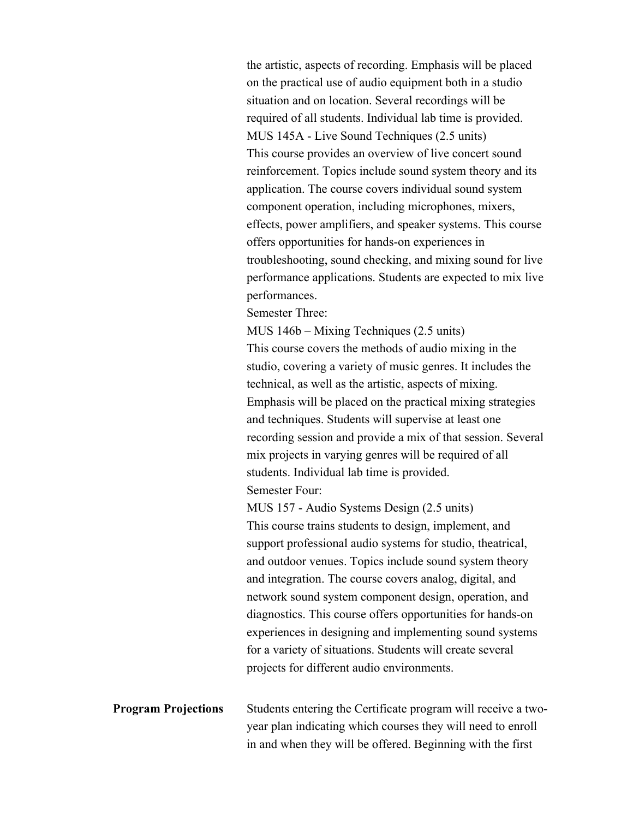the artistic, aspects of recording. Emphasis will be placed on the practical use of audio equipment both in a studio situation and on location. Several recordings will be required of all students. Individual lab time is provided. MUS 145A - Live Sound Techniques (2.5 units) This course provides an overview of live concert sound reinforcement. Topics include sound system theory and its application. The course covers individual sound system component operation, including microphones, mixers, effects, power amplifiers, and speaker systems. This course offers opportunities for hands-on experiences in troubleshooting, sound checking, and mixing sound for live performance applications. Students are expected to mix live performances.

Semester Three:

MUS 146b – Mixing Techniques (2.5 units) This course covers the methods of audio mixing in the studio, covering a variety of music genres. It includes the technical, as well as the artistic, aspects of mixing. Emphasis will be placed on the practical mixing strategies and techniques. Students will supervise at least one recording session and provide a mix of that session. Several mix projects in varying genres will be required of all students. Individual lab time is provided. Semester Four:

MUS 157 - Audio Systems Design (2.5 units) This course trains students to design, implement, and support professional audio systems for studio, theatrical, and outdoor venues. Topics include sound system theory and integration. The course covers analog, digital, and network sound system component design, operation, and diagnostics. This course offers opportunities for hands-on experiences in designing and implementing sound systems for a variety of situations. Students will create several projects for different audio environments.

**Program Projections** Students entering the Certificate program will receive a twoyear plan indicating which courses they will need to enroll in and when they will be offered. Beginning with the first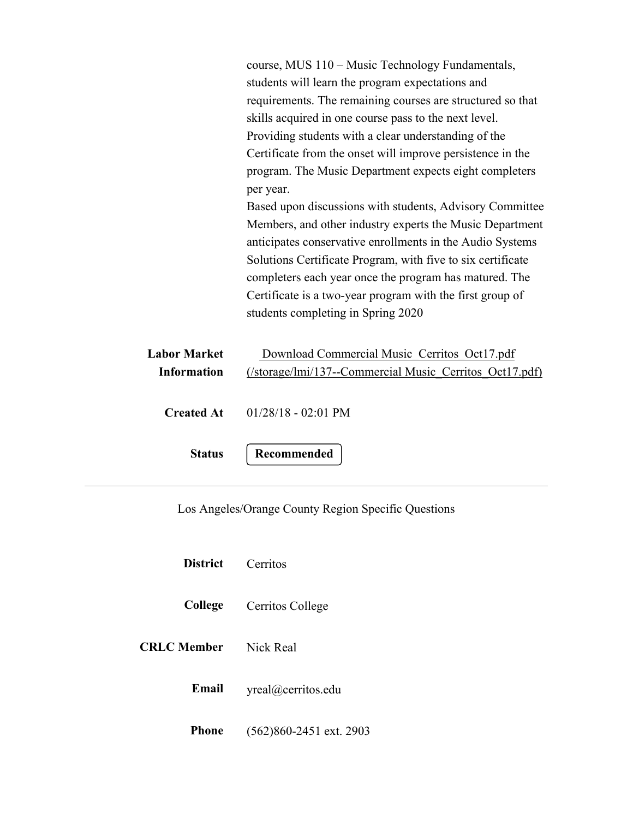course, MUS 110 – Music Technology Fundamentals, students will learn the program expectations and requirements. The remaining courses are structured so that skills acquired in one course pass to the next level. Providing students with a clear understanding of the Certificate from the onset will improve persistence in the program. The Music Department expects eight completers per year. Based upon discussions with students, Advisory Committee

Members, and other industry experts the Music Department anticipates conservative enrollments in the Audio Systems Solutions Certificate Program, with five to six certificate completers each year once the program has matured. The Certificate is a two-year program with the first group of students completing in Spring 2020

| Labor Market      | Download Commercial Music Cerritos Oct17.pdf            |  |  |
|-------------------|---------------------------------------------------------|--|--|
| Information       | (/storage/lmi/137--Commercial Music Cerritos Oct17.pdf) |  |  |
| <b>Created At</b> | $01/28/18$ - 02:01 PM                                   |  |  |
| <b>Status</b>     | Recommended                                             |  |  |

Los Angeles/Orange County Region Specific Questions

| <b>District</b> Cerritos     |                                 |
|------------------------------|---------------------------------|
|                              | <b>College</b> Cerritos College |
| <b>CRLC Member</b> Nick Real |                                 |
| Email                        | yreal@cerritos.edu              |
| Phone                        | $(562)860-2451$ ext. 2903       |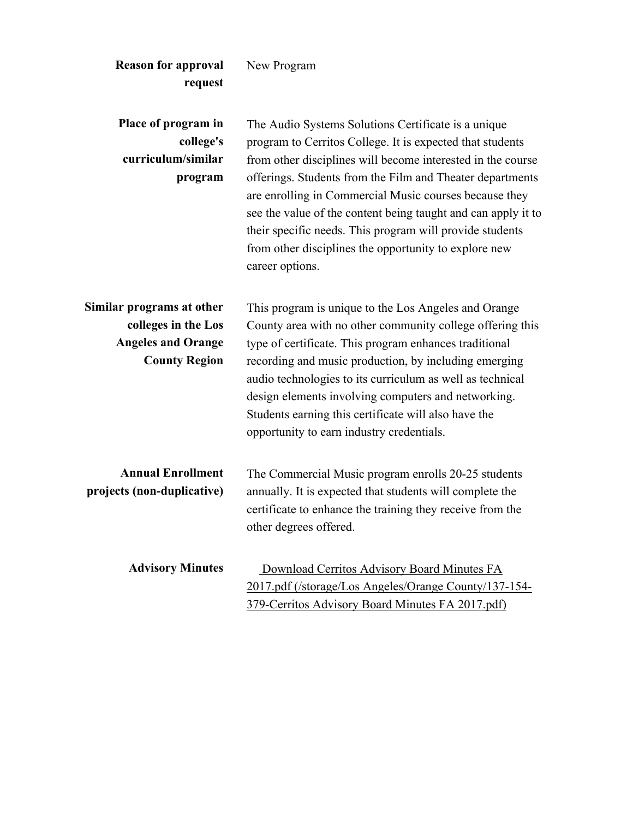| <b>Reason for approval</b><br>request                                                                 | New Program                                                                                                                                                                                                                                                                                                                                                                                                                                                                                                     |
|-------------------------------------------------------------------------------------------------------|-----------------------------------------------------------------------------------------------------------------------------------------------------------------------------------------------------------------------------------------------------------------------------------------------------------------------------------------------------------------------------------------------------------------------------------------------------------------------------------------------------------------|
| Place of program in<br>college's<br>curriculum/similar<br>program                                     | The Audio Systems Solutions Certificate is a unique<br>program to Cerritos College. It is expected that students<br>from other disciplines will become interested in the course<br>offerings. Students from the Film and Theater departments<br>are enrolling in Commercial Music courses because they<br>see the value of the content being taught and can apply it to<br>their specific needs. This program will provide students<br>from other disciplines the opportunity to explore new<br>career options. |
| Similar programs at other<br>colleges in the Los<br><b>Angeles and Orange</b><br><b>County Region</b> | This program is unique to the Los Angeles and Orange<br>County area with no other community college offering this<br>type of certificate. This program enhances traditional<br>recording and music production, by including emerging<br>audio technologies to its curriculum as well as technical<br>design elements involving computers and networking.<br>Students earning this certificate will also have the<br>opportunity to earn industry credentials.                                                   |
| <b>Annual Enrollment</b><br>projects (non-duplicative)                                                | The Commercial Music program enrolls 20-25 students<br>annually. It is expected that students will complete the<br>certificate to enhance the training they receive from the<br>other degrees offered.                                                                                                                                                                                                                                                                                                          |
| <b>Advisory Minutes</b>                                                                               | Download Cerritos Advisory Board Minutes FA<br>2017.pdf (/storage/Los Angeles/Orange County/137-154-<br>379-Cerritos Advisory Board Minutes FA 2017.pdf)                                                                                                                                                                                                                                                                                                                                                        |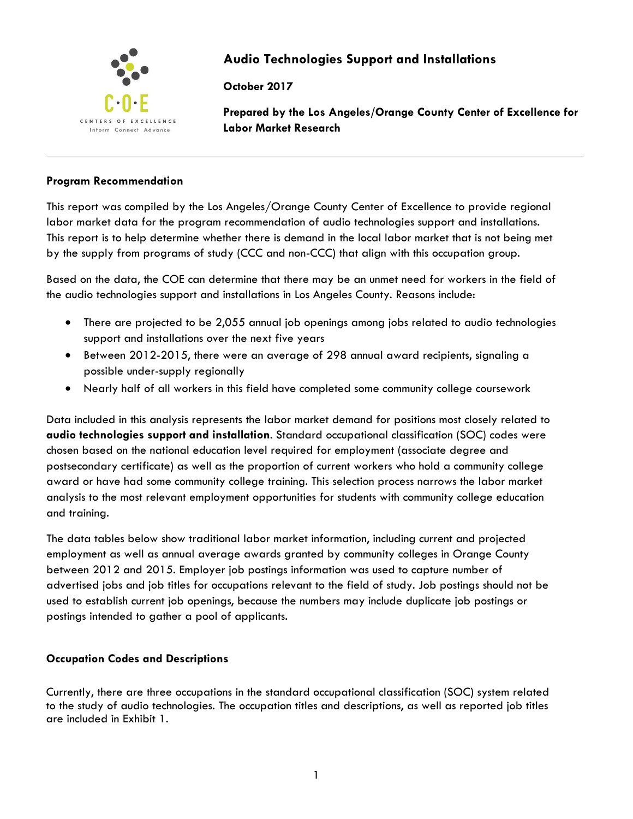

# **Audio Technologies Support and Installations**

**October 2017**

**Prepared by the Los Angeles/Orange County Center of Excellence for Labor Market Research**

### **Program Recommendation**

This report was compiled by the Los Angeles/Orange County Center of Excellence to provide regional labor market data for the program recommendation of audio technologies support and installations. This report is to help determine whether there is demand in the local labor market that is not being met by the supply from programs of study (CCC and non-CCC) that align with this occupation group.

Based on the data, the COE can determine that there may be an unmet need for workers in the field of the audio technologies support and installations in Los Angeles County. Reasons include:

- There are projected to be 2,055 annual job openings among jobs related to audio technologies support and installations over the next five years
- Between 2012-2015, there were an average of 298 annual award recipients, signaling a possible under-supply regionally
- Nearly half of all workers in this field have completed some community college coursework

Data included in this analysis represents the labor market demand for positions most closely related to **audio technologies support and installation**. Standard occupational classification (SOC) codes were chosen based on the national education level required for employment (associate degree and postsecondary certificate) as well as the proportion of current workers who hold a community college award or have had some community college training. This selection process narrows the labor market analysis to the most relevant employment opportunities for students with community college education and training.

The data tables below show traditional labor market information, including current and projected employment as well as annual average awards granted by community colleges in Orange County between 2012 and 2015. Employer job postings information was used to capture number of advertised jobs and job titles for occupations relevant to the field of study. Job postings should not be used to establish current job openings, because the numbers may include duplicate job postings or postings intended to gather a pool of applicants.

### **Occupation Codes and Descriptions**

Currently, there are three occupations in the standard occupational classification (SOC) system related to the study of audio technologies. The occupation titles and descriptions, as well as reported job titles are included in Exhibit 1.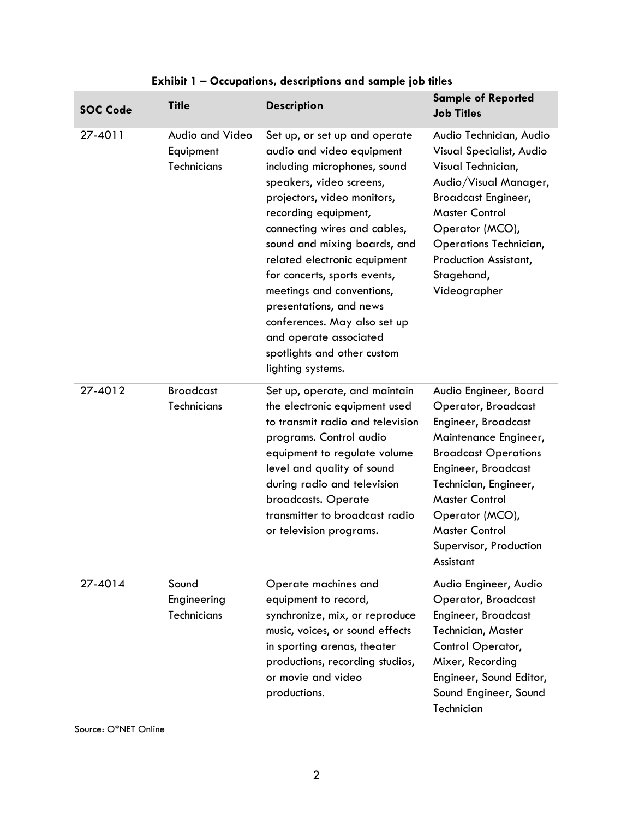| <b>SOC Code</b> | <b>Title</b>                                | <b>Description</b>                                                                                                                                                                                                                                                                                                                                                                                                                                                                  | <b>Sample of Reported</b><br><b>Job Titles</b>                                                                                                                                                                                                                                                        |
|-----------------|---------------------------------------------|-------------------------------------------------------------------------------------------------------------------------------------------------------------------------------------------------------------------------------------------------------------------------------------------------------------------------------------------------------------------------------------------------------------------------------------------------------------------------------------|-------------------------------------------------------------------------------------------------------------------------------------------------------------------------------------------------------------------------------------------------------------------------------------------------------|
| 27-4011         | Audio and Video<br>Equipment<br>Technicians | Set up, or set up and operate<br>audio and video equipment<br>including microphones, sound<br>speakers, video screens,<br>projectors, video monitors,<br>recording equipment,<br>connecting wires and cables,<br>sound and mixing boards, and<br>related electronic equipment<br>for concerts, sports events,<br>meetings and conventions,<br>presentations, and news<br>conferences. May also set up<br>and operate associated<br>spotlights and other custom<br>lighting systems. | Audio Technician, Audio<br>Visual Specialist, Audio<br>Visual Technician,<br>Audio/Visual Manager,<br><b>Broadcast Engineer,</b><br><b>Master Control</b><br>Operator (MCO),<br>Operations Technician,<br>Production Assistant,<br>Stagehand,<br>Videographer                                         |
| 27-4012         | <b>Broadcast</b><br>Technicians             | Set up, operate, and maintain<br>the electronic equipment used<br>to transmit radio and television<br>programs. Control audio<br>equipment to regulate volume<br>level and quality of sound<br>during radio and television<br>broadcasts. Operate<br>transmitter to broadcast radio<br>or television programs.                                                                                                                                                                      | Audio Engineer, Board<br>Operator, Broadcast<br><b>Engineer, Broadcast</b><br>Maintenance Engineer,<br><b>Broadcast Operations</b><br><b>Engineer, Broadcast</b><br>Technician, Engineer,<br><b>Master Control</b><br>Operator (MCO),<br><b>Master Control</b><br>Supervisor, Production<br>Assistant |
| 27-4014         | Sound<br>Engineering<br>Technicians         | Operate machines and<br>equipment to record,<br>synchronize, mix, or reproduce<br>music, voices, or sound effects<br>in sporting arenas, theater<br>productions, recording studios,<br>or movie and video<br>productions.                                                                                                                                                                                                                                                           | Audio Engineer, Audio<br>Operator, Broadcast<br>Engineer, Broadcast<br>Technician, Master<br>Control Operator,<br>Mixer, Recording<br>Engineer, Sound Editor,<br>Sound Engineer, Sound<br>Technician                                                                                                  |

# **Exhibit 1 – Occupations, descriptions and sample job titles**

Source: O\*NET Online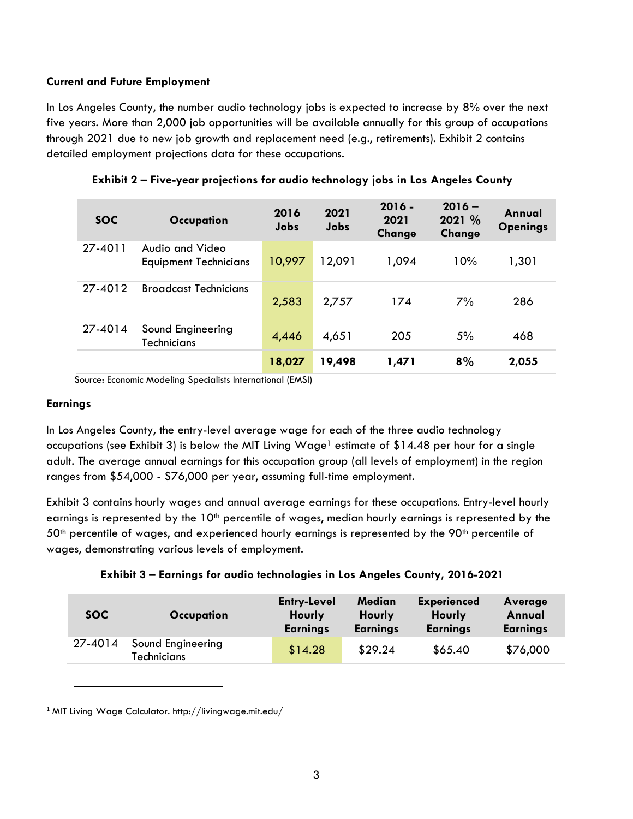### **Current and Future Employment**

In Los Angeles County, the number audio technology jobs is expected to increase by 8% over the next five years. More than 2,000 job opportunities will be available annually for this group of occupations through 2021 due to new job growth and replacement need (e.g., retirements). Exhibit 2 contains detailed employment projections data for these occupations.

| <b>SOC</b> | Occupation                                      | 2016<br><b>Jobs</b> | 2021<br>Jobs | $2016 -$<br>2021<br>Change | $2016 -$<br>2021 %<br>Change | Annual<br><b>Openings</b> |
|------------|-------------------------------------------------|---------------------|--------------|----------------------------|------------------------------|---------------------------|
| 27-4011    | Audio and Video<br><b>Equipment Technicians</b> | 10,997              | 12,091       | 1,094                      | 10%                          | 1,301                     |
| 27-4012    | <b>Broadcast Technicians</b>                    | 2,583               | 2,757        | 174                        | 7%                           | 286                       |
| 27-4014    | Sound Engineering<br>Technicians                | 4,446               | 4,651        | 205                        | 5%                           | 468                       |
|            |                                                 | 18,027              | 19,498       | 1,471                      | 8%                           | 2,055                     |

**Exhibit 2 – Five-year projections for audio technology jobs in Los Angeles County**

Source: Economic Modeling Specialists International (EMSI)

### **Earnings**

 $\overline{\phantom{a}}$ 

In Los Angeles County, the entry-level average wage for each of the three audio technology occupations (see Exhibit 3) is below the MIT Living Wage<sup>1</sup> estimate of \$14.48 per hour for a single adult. The average annual earnings for this occupation group (all levels of employment) in the region ranges from \$54,000 - \$76,000 per year, assuming full-time employment.

Exhibit 3 contains hourly wages and annual average earnings for these occupations. Entry-level hourly earnings is represented by the  $10<sup>th</sup>$  percentile of wages, median hourly earnings is represented by the  $50<sup>th</sup>$  percentile of wages, and experienced hourly earnings is represented by the  $90<sup>th</sup>$  percentile of wages, demonstrating various levels of employment.

**Exhibit 3 – Earnings for audio technologies in Los Angeles County, 2016-2021**

| <b>SOC</b> | Occupation                              | <b>Entry-Level</b><br>Hourly<br><b>Earnings</b> | Median<br>Hourly<br><b>Earnings</b> | <b>Experienced</b><br><b>Hourly</b><br><b>Earnings</b> | Average<br>Annual<br><b>Earnings</b> |
|------------|-----------------------------------------|-------------------------------------------------|-------------------------------------|--------------------------------------------------------|--------------------------------------|
| 27-4014    | Sound Engineering<br><b>Technicians</b> | \$14.28                                         | \$29.24                             | \$65.40                                                | \$76,000                             |

<sup>1</sup> MIT Living Wage Calculator. http://livingwage.mit.edu/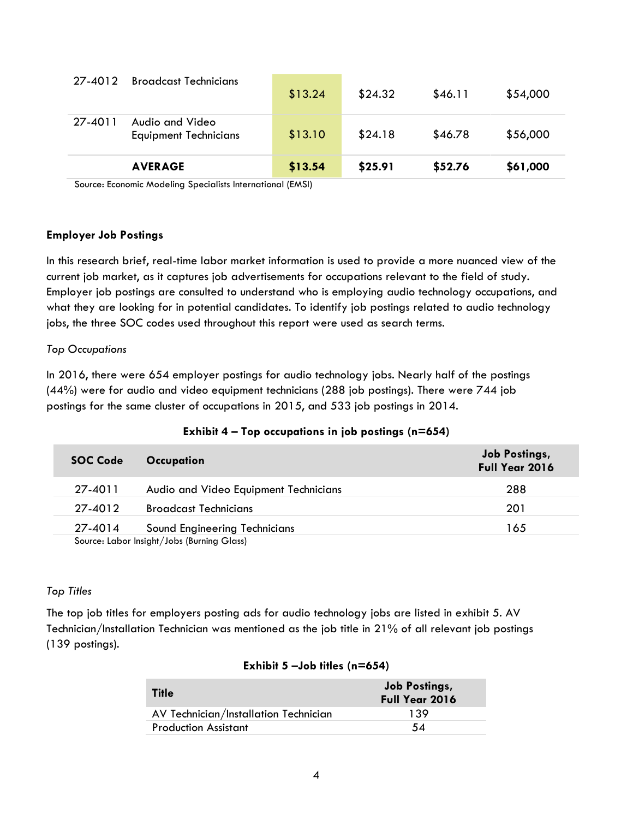|         | <b>AVERAGE</b>                                  | \$13.54 | \$25.91 | \$52.76 | \$61,000 |
|---------|-------------------------------------------------|---------|---------|---------|----------|
| 27-4011 | Audio and Video<br><b>Equipment Technicians</b> | \$13.10 | \$24.18 | \$46.78 | \$56,000 |
| 27-4012 | <b>Broadcast Technicians</b>                    | \$13.24 | \$24.32 | \$46.11 | \$54,000 |

Source: Economic Modeling Specialists International (EMSI)

### **Employer Job Postings**

In this research brief, real-time labor market information is used to provide a more nuanced view of the current job market, as it captures job advertisements for occupations relevant to the field of study. Employer job postings are consulted to understand who is employing audio technology occupations, and what they are looking for in potential candidates. To identify job postings related to audio technology jobs, the three SOC codes used throughout this report were used as search terms.

### *Top Occupations*

In 2016, there were 654 employer postings for audio technology jobs. Nearly half of the postings (44%) were for audio and video equipment technicians (288 job postings). There were 744 job postings for the same cluster of occupations in 2015, and 533 job postings in 2014.

| <b>SOC Code</b>                            | Occupation                            | Job Postings,<br><b>Full Year 2016</b> |  |
|--------------------------------------------|---------------------------------------|----------------------------------------|--|
| 27-4011                                    | Audio and Video Equipment Technicians | 288                                    |  |
| 27-4012                                    | <b>Broadcast Technicians</b>          | 201                                    |  |
| 27-4014                                    | Sound Engineering Technicians         | 165                                    |  |
| Source: Labor Insight/Jobs (Burning Glass) |                                       |                                        |  |

### **Exhibit 4 – Top occupations in job postings (n=654)**

### *Top Titles*

The top job titles for employers posting ads for audio technology jobs are listed in exhibit 5. AV Technician/Installation Technician was mentioned as the job title in 21% of all relevant job postings (139 postings).

| <b>Title</b>                          | <b>Job Postings,</b><br><b>Full Year 2016</b> |
|---------------------------------------|-----------------------------------------------|
| AV Technician/Installation Technician | 139                                           |
| <b>Production Assistant</b>           | 54                                            |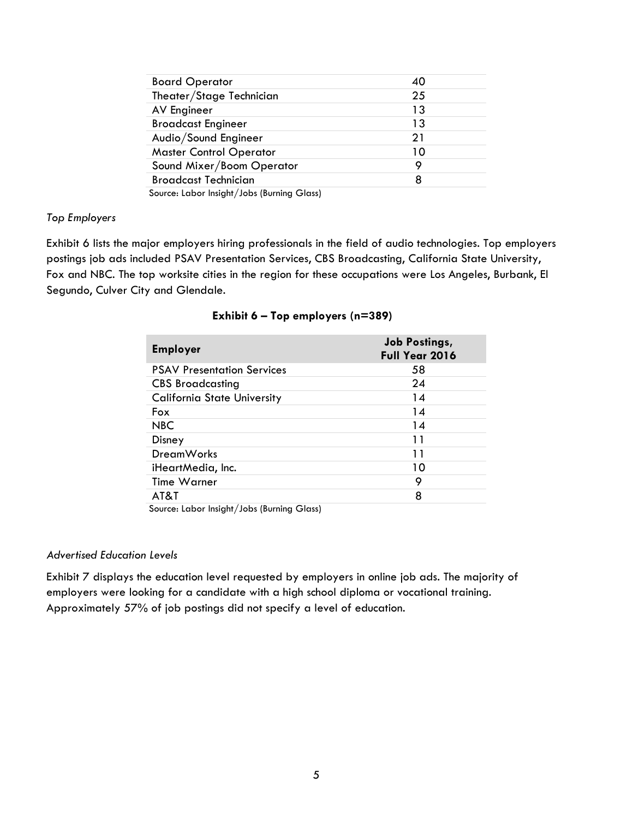| <b>Board Operator</b>                      | 40 |
|--------------------------------------------|----|
| Theater/Stage Technician                   | 25 |
| AV Engineer                                | 13 |
| <b>Broadcast Engineer</b>                  | 13 |
| Audio/Sound Engineer                       | 21 |
| <b>Master Control Operator</b>             | 10 |
| Sound Mixer/Boom Operator                  | 9  |
| <b>Broadcast Technician</b>                | 8  |
| Source: Labor Insight/Jobs (Burning Glass) |    |

### *Top Employers*

Exhibit 6 lists the major employers hiring professionals in the field of audio technologies. Top employers postings job ads included PSAV Presentation Services, CBS Broadcasting, California State University, Fox and NBC. The top worksite cities in the region for these occupations were Los Angeles, Burbank, El Segundo, Culver City and Glendale.

| <b>Employer</b>                    | <b>Job Postings,</b><br>Full Year 2016 |
|------------------------------------|----------------------------------------|
| <b>PSAV Presentation Services</b>  | 58                                     |
| <b>CBS Broadcasting</b>            | 24                                     |
| <b>California State University</b> | 14                                     |
| Fox                                | 14                                     |
| <b>NBC</b>                         | 14                                     |
| Disney                             | 11                                     |
| <b>DreamWorks</b>                  | 11                                     |
| iHeartMedia, Inc.                  | 10                                     |
| Time Warner                        | 9                                      |
| AT&T                               | 8                                      |

#### **Exhibit 6 – Top employers (n=389)**

Source: Labor Insight/Jobs (Burning Glass)

### *Advertised Education Levels*

Exhibit 7 displays the education level requested by employers in online job ads. The majority of employers were looking for a candidate with a high school diploma or vocational training. Approximately 57% of job postings did not specify a level of education.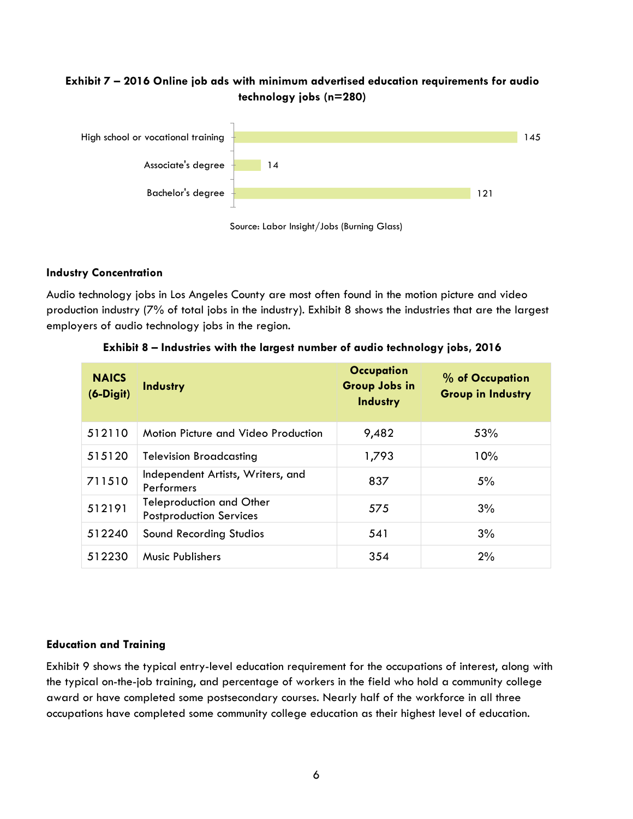# **Exhibit 7 – 2016 Online job ads with minimum advertised education requirements for audio technology jobs (n=280)**





### **Industry Concentration**

Audio technology jobs in Los Angeles County are most often found in the motion picture and video production industry (7% of total jobs in the industry). Exhibit 8 shows the industries that are the largest employers of audio technology jobs in the region.

| <b>NAICS</b><br>$(6-Digit)$ | <b>Industry</b>                                                   | <b>Occupation</b><br><b>Group Jobs in</b><br>Industry | % of Occupation<br><b>Group in Industry</b> |
|-----------------------------|-------------------------------------------------------------------|-------------------------------------------------------|---------------------------------------------|
| 512110                      | Motion Picture and Video Production                               | 9,482                                                 | 53%                                         |
| 515120                      | <b>Television Broadcasting</b>                                    | 1,793                                                 | 10%                                         |
| 711510                      | Independent Artists, Writers, and<br>Performers                   | 837                                                   | 5%                                          |
| 512191                      | <b>Teleproduction and Other</b><br><b>Postproduction Services</b> | 575                                                   | 3%                                          |
| 512240                      | Sound Recording Studios                                           | 541                                                   | 3%                                          |
| 512230                      | <b>Music Publishers</b>                                           | 354                                                   | 2%                                          |

**Exhibit 8 – Industries with the largest number of audio technology jobs, 2016**

### **Education and Training**

Exhibit 9 shows the typical entry-level education requirement for the occupations of interest, along with the typical on-the-job training, and percentage of workers in the field who hold a community college award or have completed some postsecondary courses. Nearly half of the workforce in all three occupations have completed some community college education as their highest level of education.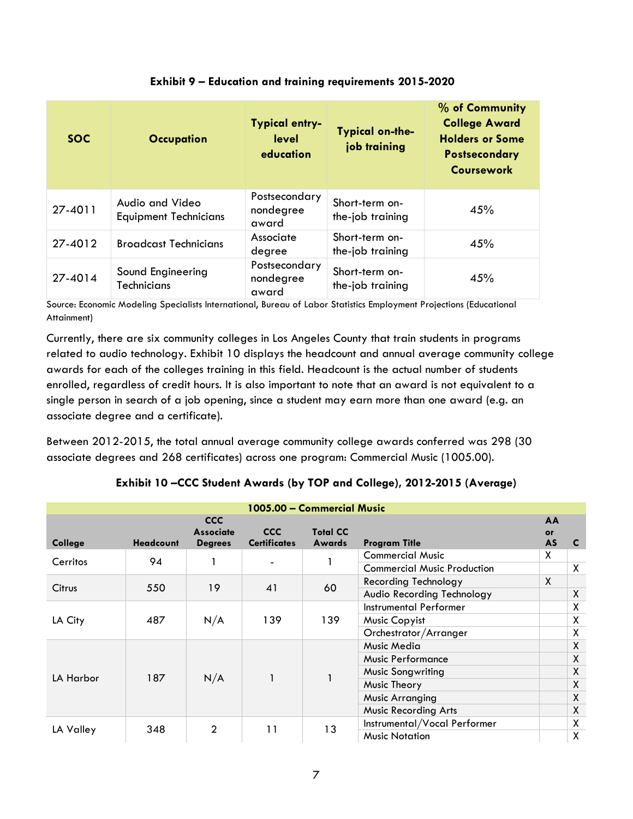| <b>SOC</b> | <b>Occupation</b>                               | <b>Typical entry-</b><br>level<br>education | Typical on-the-<br>job training    | % of Community<br><b>College Award</b><br><b>Holders or Some</b><br><b>Postsecondary</b><br><b>Coursework</b> |
|------------|-------------------------------------------------|---------------------------------------------|------------------------------------|---------------------------------------------------------------------------------------------------------------|
| 27-4011    | Audio and Video<br><b>Equipment Technicians</b> | Postsecondary<br>nondegree<br>award         | Short-term on-<br>the-job training | 45%                                                                                                           |
| 27-4012    | <b>Broadcast Technicians</b>                    | Associate<br>degree                         | Short-term on-<br>the-job training | 45%                                                                                                           |
| 27-4014    | Sound Engineering<br><b>Technicians</b>         | Postsecondary<br>nondegree<br>award         | Short-term on-<br>the-job training | 45%                                                                                                           |

# **Exhibit 9 – Education and training requirements 2015-2020**

Source: Economic Modeling Specialists International, Bureau of Labor Statistics Employment Projections (Educational Attainment)

Currently, there are six community colleges in Los Angeles County that train students in programs related to audio technology. Exhibit 10 displays the headcount and annual average community college awards for each of the colleges training in this field. Headcount is the actual number of students enrolled, regardless of credit hours. It is also important to note that an award is not equivalent to a single person in search of a job opening, since a student may earn more than one award (e.g. an associate degree and a certificate).

Between 2012-2015, the total annual average community college awards conferred was 298 (30 associate degrees and 268 certificates) across one program: Commercial Music (1005.00).

| 1005.00 - Commercial Music |                  |                                                  |                                   |                                  |                                    |                              |   |
|----------------------------|------------------|--------------------------------------------------|-----------------------------------|----------------------------------|------------------------------------|------------------------------|---|
| College                    | <b>Headcount</b> | <b>CCC</b><br><b>Associate</b><br><b>Degrees</b> | <b>CCC</b><br><b>Certificates</b> | <b>Total CC</b><br><b>Awards</b> | <b>Program Title</b>               | AA<br><b>or</b><br><b>AS</b> | C |
| Cerritos                   | 94               |                                                  |                                   |                                  | <b>Commercial Music</b>            | X                            |   |
|                            |                  |                                                  |                                   |                                  | <b>Commercial Music Production</b> |                              | X |
| Citrus                     | 550              | 19                                               | 41                                | 60                               | Recording Technology               | $\mathsf{X}$                 |   |
|                            |                  |                                                  |                                   |                                  | Audio Recording Technology         |                              | X |
| LA City                    | 487              | N/A                                              | 139                               | 139                              | Instrumental Performer             |                              | X |
|                            |                  |                                                  |                                   |                                  | Music Copyist                      |                              | X |
|                            |                  |                                                  |                                   |                                  | Orchestrator/Arranger              |                              | X |
|                            | 187              | N/A                                              |                                   |                                  | Music Media                        |                              | X |
|                            |                  |                                                  |                                   |                                  | <b>Music Performance</b>           |                              | X |
|                            |                  |                                                  |                                   |                                  | <b>Music Songwriting</b>           |                              | X |
| LA Harbor                  |                  |                                                  |                                   |                                  | Music Theory                       |                              | X |
|                            |                  |                                                  |                                   |                                  | <b>Music Arranging</b>             |                              | X |
|                            |                  |                                                  |                                   |                                  | <b>Music Recording Arts</b>        |                              | X |
|                            | 348              | $\overline{2}$                                   | 11                                | 13                               | Instrumental/Vocal Performer       |                              | X |
| LA Valley                  |                  |                                                  |                                   |                                  | <b>Music Notation</b>              |                              | X |

# **Exhibit 10 –CCC Student Awards (by TOP and College), 2012-2015 (Average)**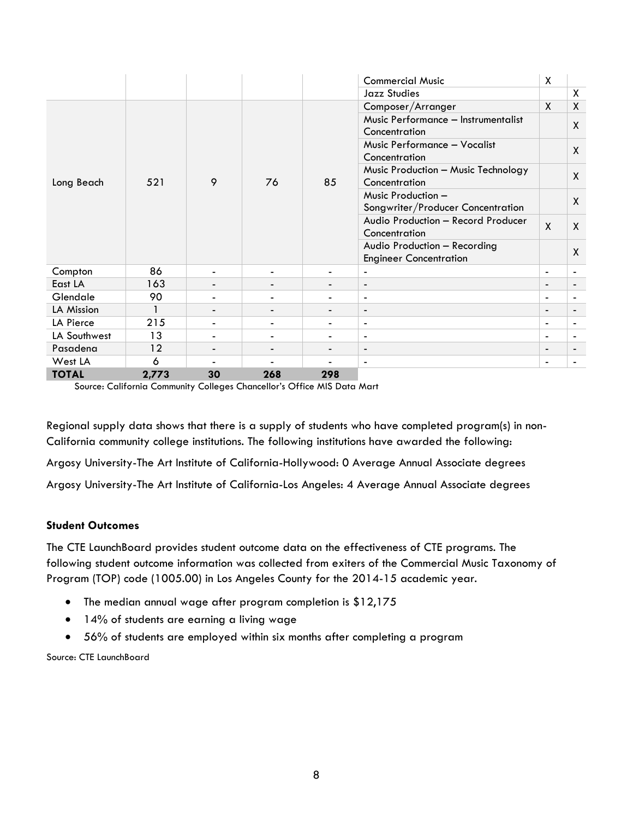|              |       |                          |                          |                          | <b>Commercial Music</b>             | X                        |                          |
|--------------|-------|--------------------------|--------------------------|--------------------------|-------------------------------------|--------------------------|--------------------------|
|              |       |                          |                          |                          | <b>Jazz Studies</b>                 |                          | X                        |
|              |       |                          |                          |                          | Composer/Arranger                   | $\mathsf{X}$             | X                        |
|              |       |                          |                          |                          | Music Performance - Instrumentalist |                          | $\mathsf{X}$             |
|              |       |                          |                          |                          | Concentration                       |                          |                          |
|              |       |                          |                          |                          | Music Performance - Vocalist        |                          | $\mathsf{X}$             |
|              |       |                          |                          |                          | Concentration                       |                          |                          |
|              |       |                          |                          |                          | Music Production - Music Technology |                          | $\mathsf{X}$             |
| Long Beach   | 521   | 9                        | 76                       | 85                       | Concentration                       |                          |                          |
|              |       |                          |                          |                          | Music Production -                  |                          | $\mathsf{X}$             |
|              |       |                          |                          |                          | Songwriter/Producer Concentration   |                          |                          |
|              |       |                          |                          |                          | Audio Production - Record Producer  | $\mathsf{X}$             | $\mathsf{X}$             |
|              |       |                          |                          |                          | Concentration                       |                          |                          |
|              |       |                          |                          |                          | Audio Production - Recording        |                          | X                        |
|              |       |                          |                          |                          | <b>Engineer Concentration</b>       |                          |                          |
| Compton      | 86    | $\overline{\phantom{a}}$ | $\overline{\phantom{a}}$ | $\overline{\phantom{a}}$ | $\overline{a}$                      | $\overline{\phantom{a}}$ | $\blacksquare$           |
| East LA      | 163   |                          |                          |                          | $\overline{a}$                      | $\overline{\phantom{a}}$ | -                        |
| Glendale     | 90    |                          |                          | $\overline{\phantom{0}}$ | $\overline{\phantom{a}}$            | $\overline{\phantom{a}}$ |                          |
| LA Mission   |       |                          |                          |                          | $\blacksquare$                      | $\overline{\phantom{a}}$ | -                        |
| LA Pierce    | 215   |                          |                          | -                        | $\overline{\phantom{a}}$            | $\overline{\phantom{a}}$ | $\overline{\phantom{a}}$ |
| LA Southwest | 13    | $\overline{\phantom{a}}$ | $\overline{\phantom{a}}$ | ٠                        | $\blacksquare$                      | $\blacksquare$           | $\blacksquare$           |
| Pasadena     | 12    | $\overline{\phantom{a}}$ | $\overline{\phantom{a}}$ | $\overline{\phantom{a}}$ | $\overline{\phantom{a}}$            | $\overline{\phantom{a}}$ | $\overline{\phantom{a}}$ |
| West LA      | 6     |                          |                          |                          | $\blacksquare$                      | $\blacksquare$           | $\blacksquare$           |
| <b>TOTAL</b> | 2,773 | 30                       | 268                      | 298                      |                                     |                          |                          |

Source: California Community Colleges Chancellor's Office MIS Data Mart

Regional supply data shows that there is a supply of students who have completed program(s) in non-California community college institutions. The following institutions have awarded the following:

Argosy University-The Art Institute of California-Hollywood: 0 Average Annual Associate degrees

Argosy University-The Art Institute of California-Los Angeles: 4 Average Annual Associate degrees

### **Student Outcomes**

The CTE LaunchBoard provides student outcome data on the effectiveness of CTE programs. The following student outcome information was collected from exiters of the Commercial Music Taxonomy of Program (TOP) code (1005.00) in Los Angeles County for the 2014-15 academic year.

- The median annual wage after program completion is \$12,175
- 14% of students are earning a living wage
- 56% of students are employed within six months after completing a program

Source: CTE LaunchBoard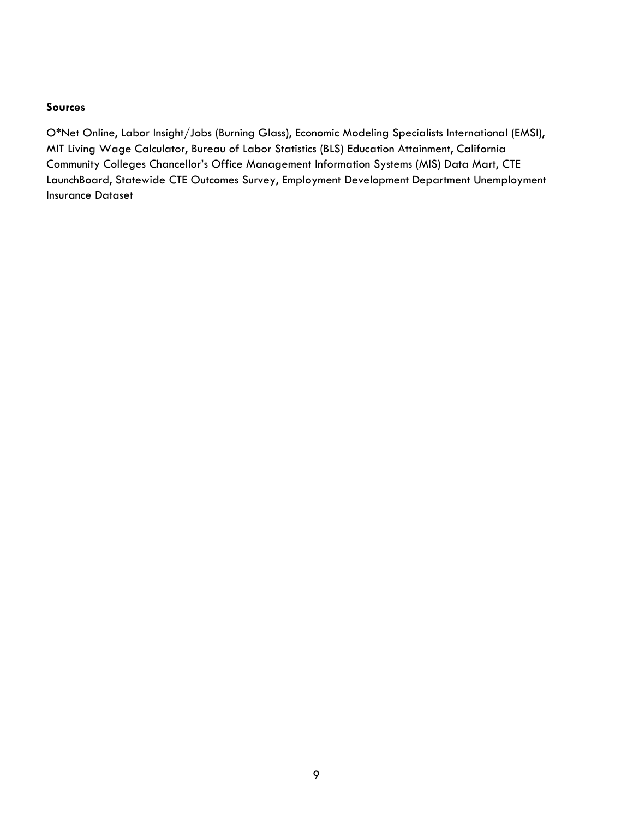#### **Sources**

O\*Net Online, Labor Insight/Jobs (Burning Glass), Economic Modeling Specialists International (EMSI), MIT Living Wage Calculator, Bureau of Labor Statistics (BLS) Education Attainment, California Community Colleges Chancellor's Office Management Information Systems (MIS) Data Mart, CTE LaunchBoard, Statewide CTE Outcomes Survey, Employment Development Department Unemployment Insurance Dataset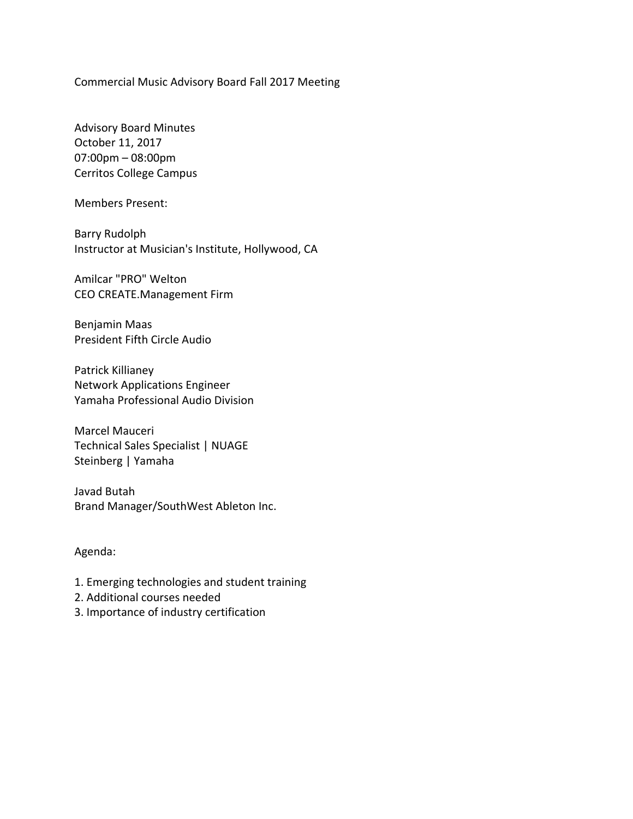Commercial Music Advisory Board Fall 2017 Meeting

Advisory Board Minutes October 11, 2017 07:00pm – 08:00pm Cerritos College Campus

Members Present:

Barry Rudolph Instructor at Musician's Institute, Hollywood, CA

Amilcar "PRO" Welton CEO CREATE.Management Firm

Benjamin Maas President Fifth Circle Audio

Patrick Killianey Network Applications Engineer Yamaha Professional Audio Division

Marcel Mauceri Technical Sales Specialist | NUAGE Steinberg | Yamaha

Javad Butah Brand Manager/SouthWest Ableton Inc.

### Agenda:

- 1. Emerging technologies and student training
- 2. Additional courses needed
- 3. Importance of industry certification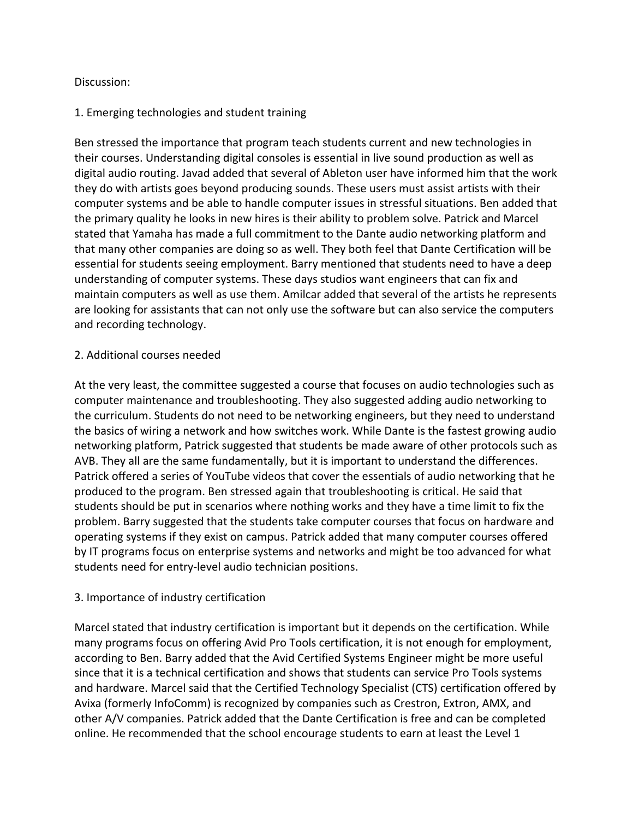## Discussion:

# 1. Emerging technologies and student training

Ben stressed the importance that program teach students current and new technologies in their courses. Understanding digital consoles is essential in live sound production as well as digital audio routing. Javad added that several of Ableton user have informed him that the work they do with artists goes beyond producing sounds. These users must assist artists with their computer systems and be able to handle computer issues in stressful situations. Ben added that the primary quality he looks in new hires is their ability to problem solve. Patrick and Marcel stated that Yamaha has made a full commitment to the Dante audio networking platform and that many other companies are doing so as well. They both feel that Dante Certification will be essential for students seeing employment. Barry mentioned that students need to have a deep understanding of computer systems. These days studios want engineers that can fix and maintain computers as well as use them. Amilcar added that several of the artists he represents are looking for assistants that can not only use the software but can also service the computers and recording technology.

# 2. Additional courses needed

At the very least, the committee suggested a course that focuses on audio technologies such as computer maintenance and troubleshooting. They also suggested adding audio networking to the curriculum. Students do not need to be networking engineers, but they need to understand the basics of wiring a network and how switches work. While Dante is the fastest growing audio networking platform, Patrick suggested that students be made aware of other protocols such as AVB. They all are the same fundamentally, but it is important to understand the differences. Patrick offered a series of YouTube videos that cover the essentials of audio networking that he produced to the program. Ben stressed again that troubleshooting is critical. He said that students should be put in scenarios where nothing works and they have a time limit to fix the problem. Barry suggested that the students take computer courses that focus on hardware and operating systems if they exist on campus. Patrick added that many computer courses offered by IT programs focus on enterprise systems and networks and might be too advanced for what students need for entry-level audio technician positions.

# 3. Importance of industry certification

Marcel stated that industry certification is important but it depends on the certification. While many programs focus on offering Avid Pro Tools certification, it is not enough for employment, according to Ben. Barry added that the Avid Certified Systems Engineer might be more useful since that it is a technical certification and shows that students can service Pro Tools systems and hardware. Marcel said that the Certified Technology Specialist (CTS) certification offered by Avixa (formerly InfoComm) is recognized by companies such as Crestron, Extron, AMX, and other A/V companies. Patrick added that the Dante Certification is free and can be completed online. He recommended that the school encourage students to earn at least the Level 1